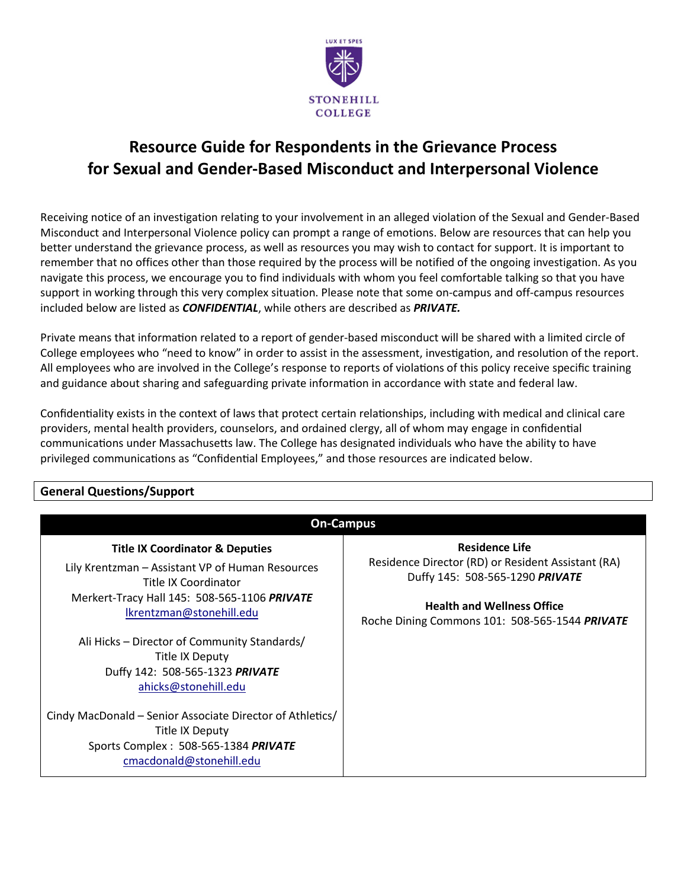

# **Resource Guide for Respondents in the Grievance Process for Sexual and Gender-Based Misconduct and Interpersonal Violence**

Receiving notice of an investigation relating to your involvement in an alleged violation of the Sexual and Gender-Based Misconduct and Interpersonal Violence policy can prompt a range of emotions. Below are resources that can help you better understand the grievance process, as well as resources you may wish to contact for support. It is important to remember that no offices other than those required by the process will be notified of the ongoing investigation. As you navigate this process, we encourage you to find individuals with whom you feel comfortable talking so that you have support in working through this very complex situation. Please note that some on-campus and off-campus resources included below are listed as *CONFIDENTIAL*, while others are described as *PRIVATE.*

Private means that information related to a report of gender-based misconduct will be shared with a limited circle of College employees who "need to know" in order to assist in the assessment, investigation, and resolution of the report. All employees who are involved in the College's response to reports of violations of this policy receive specific training and guidance about sharing and safeguarding private information in accordance with state and federal law.

Confidentiality exists in the context of laws that protect certain relationships, including with medical and clinical care providers, mental health providers, counselors, and ordained clergy, all of whom may engage in confidential communications under Massachusetts law. The College has designated individuals who have the ability to have privileged communications as "Confidential Employees," and those resources are indicated below.

# **General Questions/Support**

| <b>On-Campus</b>                                                                                                                                                                                   |                                                                                                                                                                                                       |
|----------------------------------------------------------------------------------------------------------------------------------------------------------------------------------------------------|-------------------------------------------------------------------------------------------------------------------------------------------------------------------------------------------------------|
| <b>Title IX Coordinator &amp; Deputies</b><br>Lily Krentzman - Assistant VP of Human Resources<br>Title IX Coordinator<br>Merkert-Tracy Hall 145: 508-565-1106 PRIVATE<br>Ikrentzman@stonehill.edu | <b>Residence Life</b><br>Residence Director (RD) or Resident Assistant (RA)<br>Duffy 145: 508-565-1290 PRIVATE<br><b>Health and Wellness Office</b><br>Roche Dining Commons 101: 508-565-1544 PRIVATE |
| Ali Hicks – Director of Community Standards/<br>Title IX Deputy<br>Duffy 142: 508-565-1323 PRIVATE<br>ahicks@stonehill.edu                                                                         |                                                                                                                                                                                                       |
| Cindy MacDonald - Senior Associate Director of Athletics/<br>Title IX Deputy<br>Sports Complex: 508-565-1384 PRIVATE<br>cmacdonald@stonehill.edu                                                   |                                                                                                                                                                                                       |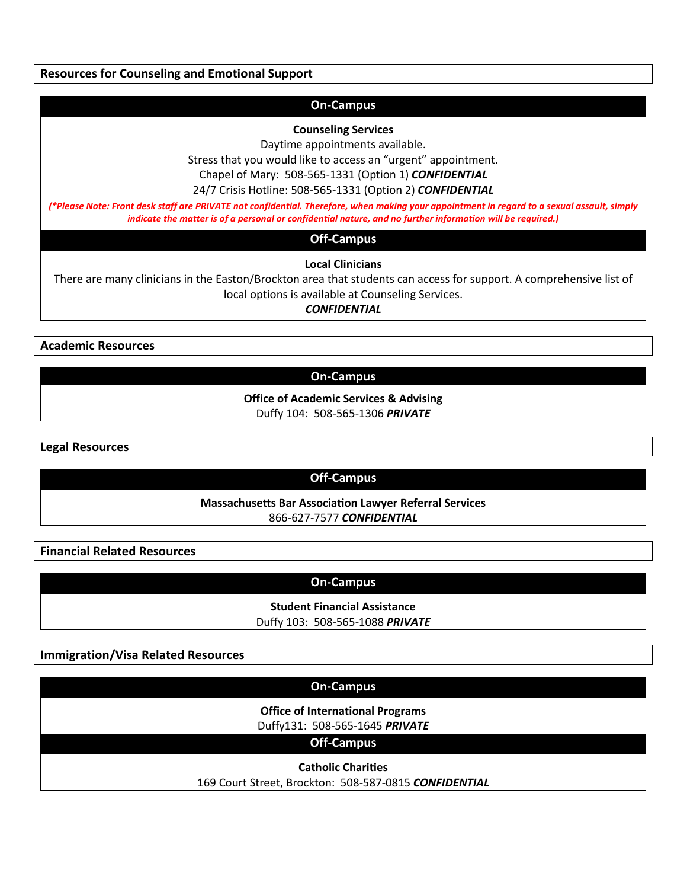**Resources for Counseling and Emotional Support**

# **On-Campus**

#### **Counseling Services**

Daytime appointments available.

Stress that you would like to access an "urgent" appointment.

Chapel of Mary: 508-565-1331 (Option 1) *CONFIDENTIAL*

24/7 Crisis Hotline: 508-565-1331 (Option 2) *CONFIDENTIAL*

*(\*Please Note: Front desk staff are PRIVATE not confidential. Therefore, when making your appointment in regard to a sexual assault, simply indicate the matter is of a personal or confidential nature, and no further information will be required.)*

**Off-Campus**

**Local Clinicians**

There are many clinicians in the Easton/Brockton area that students can access for support. A comprehensive list of local options is available at Counseling Services.

*CONFIDENTIAL*

**Academic Resources**

# **On-Campus**

**Office of Academic Services & Advising** Duffy 104: 508-565-1306 *PRIVATE*

**Legal Resources**

# **Off-Campus**

**Massachusetts Bar Association Lawyer Referral Services** 866-627-7577 *CONFIDENTIAL*

**Financial Related Resources**

**On-Campus**

**Student Financial Assistance** Duffy 103: 508-565-1088 *PRIVATE*

**Immigration/Visa Related Resources**

# **On-Campus**

**Office of International Programs**

Duffy131: 508-565-1645 *PRIVATE*

**Off-Campus**

**Catholic Chari�es** 169 Court Street, Brockton: 508-587-0815 *CONFIDENTIAL*